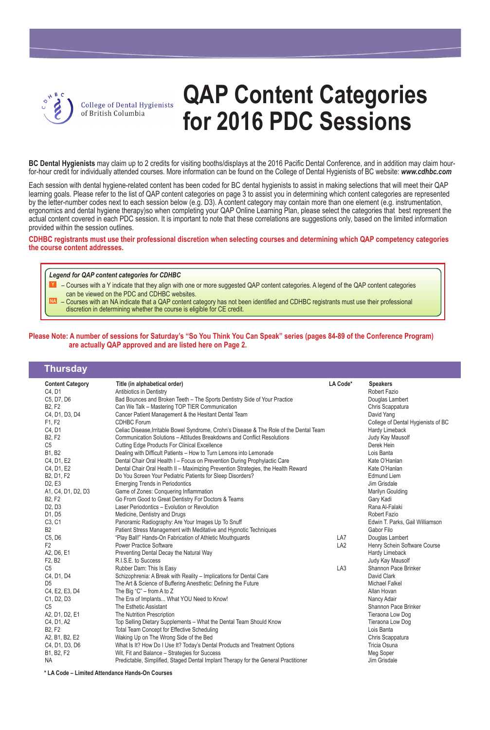

## **QAP Content Categories for 2016 PDC Sessions**

**BC Dental Hygienists** may claim up to 2 credits for visiting booths/displays at the 2016 Pacific Dental Conference, and in addition may claim hourfor-hour credit for individually attended courses. More information can be found on the College of Dental Hygienists of BC website: *www.cdhbc.com*

Each session with dental hygiene-related content has been coded for BC dental hygienists to assist in making selections that will meet their QAP learning goals. Please refer to the list of QAP content categories on page 3 to assist you in determining which content categories are represented by the letter-number codes next to each session below (e.g. D3). A content category may contain more than one element (e.g. instrumentation, ergonomics and dental hygiene therapy)so when completing your QAP Online Learning Plan, please select the categories that best represent the actual content covered in each PDC session. It is important to note that these correlations are suggestions only, based on the limited information provided within the session outlines.

**CDHBC registrants must use their professional discretion when selecting courses and determining which QAP competency categories the course content addresses.**

#### *Legend for QAP content categories for CDHBC*

**NA**

- Courses with a Y indicate that they align with one or more suggested QAP content categories. A legend of the QAP content categories can be viewed on the PDC and CDHBC websites. **Y**
	- Courses with an NA indicate that a QAP content category has not been identified and CDHBC registrants must use their professional discretion in determining whether the course is eligible for CE credit.

#### **Please Note: A number of sessions for Saturday's "So You Think You Can Speak" series (pages 84-89 of the Conference Program) are actually QAP approved and are listed here on Page 2.**

| Thursday                        |                                                                                         |                 |                                    |
|---------------------------------|-----------------------------------------------------------------------------------------|-----------------|------------------------------------|
| <b>Content Category</b>         | Title (in alphabetical order)                                                           | LA Code*        | <b>Speakers</b>                    |
| C4, D1                          | Antibiotics in Dentistry                                                                |                 | Robert Fazio                       |
| C5, D7, D6                      | Bad Bounces and Broken Teeth - The Sports Dentistry Side of Your Practice               |                 | Douglas Lambert                    |
| <b>B2, F2</b>                   | Can We Talk - Mastering TOP TIER Communication                                          |                 | Chris Scappatura                   |
| C4, D1, D3, D4                  | Cancer Patient Management & the Hesitant Dental Team                                    |                 | David Yang                         |
| F1, F2                          | <b>CDHBC</b> Forum                                                                      |                 | College of Dental Hygienists of BC |
| C4, D1                          | Celiac Disease, Irritable Bowel Syndrome, Crohn's Disease & The Role of the Dental Team |                 | Hardy Limeback                     |
| <b>B2, F2</b>                   | Communication Solutions – Attitudes Breakdowns and Conflict Resolutions                 |                 | Judy Kay Mausolf                   |
| C <sub>5</sub>                  | <b>Cutting Edge Products For Clinical Excellence</b>                                    |                 | Derek Hein                         |
| <b>B1, B2</b>                   | Dealing with Difficult Patients - How to Turn Lemons into Lemonade                      |                 | Lois Banta                         |
| C4, D1, E2                      | Dental Chair Oral Health I - Focus on Prevention During Prophylactic Care               |                 | Kate O'Hanlan                      |
| C4, D1, E2                      | Dental Chair Oral Health II - Maximizing Prevention Strategies, the Health Reward       |                 | Kate O'Hanlan                      |
| B2, D1, F2                      | Do You Screen Your Pediatric Patients for Sleep Disorders?                              |                 | <b>Edmund Liem</b>                 |
| D <sub>2</sub> , E <sub>3</sub> | <b>Emerging Trends in Periodontics</b>                                                  |                 | Jim Grisdale                       |
| A1, C4, D1, D2, D3              | Game of Zones: Conquering Inflammation                                                  |                 | Marilyn Goulding                   |
| <b>B2, F2</b>                   | Go From Good to Great Dentistry For Doctors & Teams                                     |                 | Gary Kadi                          |
| D <sub>2</sub> , D <sub>3</sub> | Laser Periodontics - Evolution or Revolution                                            |                 | Rana Al-Falaki                     |
| D1, D5                          | Medicine, Dentistry and Drugs                                                           |                 | Robert Fazio                       |
| C <sub>3</sub> , C <sub>1</sub> | Panoramic Radiography: Are Your Images Up To Snuff                                      |                 | Edwin T. Parks, Gail Williamson    |
| B <sub>2</sub>                  | Patient Stress Management with Meditative and Hypnotic Techniques                       |                 | Gabor Filo                         |
| C5, D6                          | "Play Ball!" Hands-On Fabrication of Athletic Mouthguards                               | LA7             | Douglas Lambert                    |
| F <sub>2</sub>                  | <b>Power Practice Software</b>                                                          | LA <sub>2</sub> | Henry Schein Software Course       |
| A2, D6, E1                      | Preventing Dental Decay the Natural Way                                                 |                 | Hardy Limeback                     |
| F2, B2                          | R.I.S.E. to Success                                                                     |                 | Judy Kay Mausolf                   |
| C <sub>5</sub>                  | Rubber Dam: This Is Easy                                                                | LA <sub>3</sub> | Shannon Pace Brinker               |
| C4, D1, D4                      | Schizophrenia: A Break with Reality - Implications for Dental Care                      |                 | David Clark                        |
| D <sub>5</sub>                  | The Art & Science of Buffering Anesthetic: Defining the Future                          |                 | <b>Michael Falkel</b>              |
| C4, E2, E3, D4                  | The Big "C" - from A to Z                                                               |                 | Allan Hovan                        |
| C1, D2, D3                      | The Era of Implants What YOU Need to Know!                                              |                 | Nancy Adair                        |
| C <sub>5</sub>                  | The Esthetic Assistant                                                                  |                 | Shannon Pace Brinker               |
| A2, D1, D2, E1                  | The Nutrition Prescription                                                              |                 | Tieraona Low Dog                   |
| C4, D1, A2                      | Top Selling Dietary Supplements - What the Dental Team Should Know                      |                 | Tieraona Low Dog                   |
| <b>B2, F2</b>                   | <b>Total Team Concept for Effective Scheduling</b>                                      |                 | Lois Banta                         |
| A2, B1, B2, E2                  | Waking Up on The Wrong Side of the Bed                                                  |                 | Chris Scappatura                   |
| C4, D1, D3, D6                  | What Is It? How Do I Use It? Today's Dental Products and Treatment Options              |                 | Tricia Osuna                       |
| B1, B2, F2                      | Wit, Fit and Balance - Strategies for Success                                           |                 | Meg Soper                          |
| <b>NA</b>                       | Predictable, Simplified, Staged Dental Implant Therapy for the General Practitioner     |                 | Jim Grisdale                       |
|                                 |                                                                                         |                 |                                    |

**\* LA Code – Limited Attendance Hands-On Courses**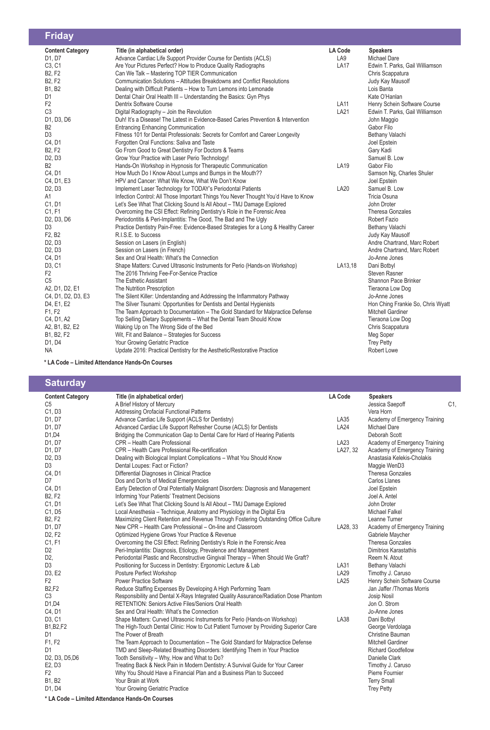| <b>Friday</b>                   |                                                                                     |                |                                   |
|---------------------------------|-------------------------------------------------------------------------------------|----------------|-----------------------------------|
| <b>Content Category</b>         | Title (in alphabetical order)                                                       | <b>LA Code</b> | <b>Speakers</b>                   |
| D1, D7                          | Advance Cardiac Life Support Provider Course for Dentists (ACLS)                    | LA9            | <b>Michael Dare</b>               |
| C <sub>3</sub> , C <sub>1</sub> | Are Your Pictures Perfect? How to Produce Quality Radiographs                       | <b>LA17</b>    | Edwin T. Parks, Gail Williamson   |
| <b>B2, F2</b>                   | Can We Talk - Mastering TOP TIER Communication                                      |                | Chris Scappatura                  |
| <b>B2, F2</b>                   | Communication Solutions - Attitudes Breakdowns and Conflict Resolutions             |                | Judy Kay Mausolf                  |
| B1, B2                          | Dealing with Difficult Patients - How to Turn Lemons into Lemonade                  |                | Lois Banta                        |
| D <sub>1</sub>                  | Dental Chair Oral Health III - Understanding the Basics: Gyn Phys                   |                | Kate O'Hanlan                     |
| F <sub>2</sub>                  | Dentrix Software Course                                                             | <b>LA11</b>    | Henry Schein Software Course      |
| C <sub>3</sub>                  | Digital Radiography - Join the Revolution                                           | LA21           | Edwin T. Parks, Gail Williamson   |
| D1, D3, D6                      | Duh! It's a Disease! The Latest in Evidence-Based Caries Prevention & Intervention  |                | John Maggio                       |
| B <sub>2</sub>                  | <b>Entrancing Enhancing Communication</b>                                           |                | Gabor Filo                        |
| D <sub>3</sub>                  | Fitness 101 for Dental Professionals: Secrets for Comfort and Career Longevity      |                | Bethany Valachi                   |
| C4, D1                          | Forgotten Oral Functions: Saliva and Taste                                          |                | Joel Epstein                      |
| <b>B2, F2</b>                   | Go From Good to Great Dentistry For Doctors & Teams                                 |                | Gary Kadi                         |
| D <sub>2</sub> , D <sub>3</sub> | Grow Your Practice with Laser Perio Technology!                                     |                | Samuel B. Low                     |
| B <sub>2</sub>                  | Hands-On Workshop in Hypnosis for Therapeutic Communication                         | LA19           | Gabor Filo                        |
| C4, D1                          | How Much Do I Know About Lumps and Bumps in the Mouth??                             |                | Samson Ng, Charles Shuler         |
| C4, D1, E3                      | HPV and Cancer: What We Know, What We Don't Know                                    |                | Joel Epstein                      |
| D <sub>2</sub> , D <sub>3</sub> | Implement Laser Technology for TODAY's Periodontal Patients                         | <b>LA20</b>    | Samuel B. Low                     |
| A1                              | Infection Control: All Those Important Things You Never Thought You'd Have to Know  |                | Tricia Osuna                      |
| C1, D1                          | Let's See What That Clicking Sound Is All About - TMJ Damage Explored               |                | John Droter                       |
| C1, F1                          | Overcoming the CSI Effect: Refining Dentistry's Role in the Forensic Area           |                | <b>Theresa Gonzales</b>           |
| D2, D3, D6                      | Periodontitis & Peri-Implantitis: The Good, The Bad and The Ugly                    |                | <b>Robert Fazio</b>               |
| D <sub>3</sub>                  | Practice Dentistry Pain-Free: Evidence-Based Strategies for a Long & Healthy Career |                | Bethany Valachi                   |
| F2, B2                          | R.I.S.E. to Success                                                                 |                | Judy Kay Mausolf                  |
| D <sub>2</sub> , D <sub>3</sub> | Session on Lasers (in English)                                                      |                | Andre Chartrand, Marc Robert      |
| D <sub>2</sub> , D <sub>3</sub> | Session on Lasers (in French)                                                       |                | Andre Chartrand, Marc Robert      |
| C <sub>4</sub> , D <sub>1</sub> | Sex and Oral Health: What's the Connection                                          |                | Jo-Anne Jones                     |
| D <sub>3</sub> , C <sub>1</sub> | Shape Matters: Curved Ultrasonic Instruments for Perio (Hands-on Workshop)          | LA13,18        | Dani Botbyl                       |
| F <sub>2</sub>                  | The 2016 Thriving Fee-For-Service Practice                                          |                | <b>Steven Rasner</b>              |
| C <sub>5</sub>                  | The Esthetic Assistant                                                              |                | Shannon Pace Brinker              |
| A2, D1, D2, E1                  | The Nutrition Prescription                                                          |                | Tieraona Low Dog                  |
| C4, D1, D2, D3, E3              | The Silent Killer: Understanding and Addressing the Inflammatory Pathway            |                | Jo-Anne Jones                     |
| D4, E1, E2                      | The Silver Tsunami: Opportunities for Dentists and Dental Hygienists                |                | Hon Ching Frankie So, Chris Wyatt |
| F1, F2                          | The Team Approach to Documentation - The Gold Standard for Malpractice Defense      |                | <b>Mitchell Gardiner</b>          |
| C4, D1, A2                      | Top Selling Dietary Supplements - What the Dental Team Should Know                  |                | Tieraona Low Dog                  |
| A2, B1, B2, E2                  | Waking Up on The Wrong Side of the Bed                                              |                | Chris Scappatura                  |
| B1, B2, F2                      | Wit, Fit and Balance - Strategies for Success                                       |                | Meg Soper                         |
| D1, D4                          | Your Growing Geriatric Practice                                                     |                | <b>Trey Petty</b>                 |
| NA                              | Update 2016: Practical Dentistry for the Aesthetic/Restorative Practice             |                | <b>Robert Lowe</b>                |

**\* LA Code – Limited Attendance Hands-On Courses**

**Saturday**

| <b>Content Category</b>                                           | Title (in alphabetical order)                                                        | <b>LA Code</b> | <b>Speakers</b>               |    |  |  |  |
|-------------------------------------------------------------------|--------------------------------------------------------------------------------------|----------------|-------------------------------|----|--|--|--|
| C <sub>5</sub>                                                    | A Brief History of Mercury                                                           |                | Jessica Saepoff               | C1 |  |  |  |
| C1, D3                                                            | Addressing Orofacial Functional Patterns                                             |                | Vera Horn                     |    |  |  |  |
| D1, D7                                                            | Advance Cardiac Life Support (ACLS for Dentistry)                                    | LA35           | Academy of Emergency Training |    |  |  |  |
| D1, D7                                                            | Advanced Cardiac Life Support Refresher Course (ACLS) for Dentists                   | <b>LA24</b>    | Michael Dare                  |    |  |  |  |
| D1,D4                                                             | Bridging the Communication Gap to Dental Care for Hard of Hearing Patients           |                | Deborah Scott                 |    |  |  |  |
| D1, D7                                                            | CPR - Health Care Professional                                                       | LA23           | Academy of Emergency Training |    |  |  |  |
| D1, D7                                                            | CPR - Health Care Professional Re-certification                                      | LA27, 32       | Academy of Emergency Training |    |  |  |  |
| D <sub>2</sub> , D <sub>3</sub>                                   | Dealing with Biological Implant Complications - What You Should Know                 |                | Anastasia Kelekis-Cholakis    |    |  |  |  |
| D <sub>3</sub>                                                    | Dental Loupes: Fact or Fiction?                                                      |                | Maggie WenD3                  |    |  |  |  |
| C4, D1                                                            | Differential Diagnoses in Clinical Practice                                          |                | <b>Theresa Gonzales</b>       |    |  |  |  |
| D7                                                                | Dos and Don'ts of Medical Emergencies                                                |                | <b>Carlos Llanes</b>          |    |  |  |  |
| C4, D1                                                            | Early Detection of Oral Potentially Malignant Disorders: Diagnosis and Management    |                | Joel Epstein                  |    |  |  |  |
| <b>B2, F2</b>                                                     | Informing Your Patients' Treatment Decisions                                         |                | Joel A. Antel                 |    |  |  |  |
| C1, D1                                                            | Let's See What That Clicking Sound Is All About - TMJ Damage Explored                |                | John Droter                   |    |  |  |  |
| C1, D5                                                            | Local Anesthesia - Technique, Anatomy and Physiology in the Digital Era              |                | <b>Michael Falkel</b>         |    |  |  |  |
| <b>B2, F2</b>                                                     | Maximizing Client Retention and Revenue Through Fostering Outstanding Office Culture |                | Leanne Turner                 |    |  |  |  |
| D1, D7                                                            | New CPR - Health Care Professional - On-line and Classroom                           | LA28, 33       | Academy of Emergency Training |    |  |  |  |
| D <sub>2</sub> , F <sub>2</sub>                                   | Optimized Hygiene Grows Your Practice & Revenue                                      |                | Gabriele Maycher              |    |  |  |  |
| C1, F1                                                            | Overcoming the CSI Effect: Refining Dentistry's Role in the Forensic Area            |                | <b>Theresa Gonzales</b>       |    |  |  |  |
| D <sub>2</sub>                                                    | Peri-Implantitis: Diagnosis, Etiology, Prevalence and Management                     |                | <b>Dimitrios Karastathis</b>  |    |  |  |  |
| D <sub>2</sub>                                                    | Periodontal Plastic and Reconstructive Gingival Therapy - When Should We Graft?      |                | Reem N. Atout                 |    |  |  |  |
| D <sub>3</sub>                                                    | Positioning for Success in Dentistry: Ergonomic Lecture & Lab                        | LA31           | Bethany Valachi               |    |  |  |  |
| D3, E2                                                            | Posture Perfect Workshop                                                             | <b>LA29</b>    | Timothy J. Caruso             |    |  |  |  |
| F <sub>2</sub>                                                    | <b>Power Practice Software</b>                                                       | <b>LA25</b>    | Henry Schein Software Course  |    |  |  |  |
| <b>B2,F2</b>                                                      | Reduce Staffing Expenses By Developing A High Performing Team                        |                | Jan Jaffer /Thomas Morris     |    |  |  |  |
| C <sub>3</sub>                                                    | Responsibility and Dental X-Rays Integrated Quality Assurance/Radiation Dose Phantom |                | Josip Nosil                   |    |  |  |  |
| D1,D4                                                             | <b>RETENTION: Seniors Active Files/Seniors Oral Health</b>                           |                | Jon O. Strom                  |    |  |  |  |
| C4, D1                                                            | Sex and Oral Health: What's the Connection                                           |                | Jo-Anne Jones                 |    |  |  |  |
| D <sub>3</sub> , C <sub>1</sub>                                   | Shape Matters: Curved Ultrasonic Instruments for Perio (Hands-on Workshop)           | LA38           | Dani Botbyl                   |    |  |  |  |
| B1, B2, F2                                                        | The High-Touch Dental Clinic: How to Cut Patient Turnover by Providing Superior Care |                | George Verdolaga              |    |  |  |  |
| D1                                                                | The Power of Breath                                                                  |                | Christine Bauman              |    |  |  |  |
| F1, F2                                                            | The Team Approach to Documentation - The Gold Standard for Malpractice Defense       |                | <b>Mitchell Gardiner</b>      |    |  |  |  |
| D1                                                                | TMD and Sleep-Related Breathing Disorders: Identifying Them in Your Practice         |                | <b>Richard Goodfellow</b>     |    |  |  |  |
| D <sub>2</sub> , D <sub>3</sub> , D <sub>5</sub> , D <sub>6</sub> | Tooth Sensitivity - Why, How and What to Do?                                         |                | Danielle Clark                |    |  |  |  |
| E2, D3                                                            | Treating Back & Neck Pain in Modern Dentistry: A Survival Guide for Your Career      |                | Timothy J. Caruso             |    |  |  |  |
| F <sub>2</sub>                                                    | Why You Should Have a Financial Plan and a Business Plan to Succeed                  |                | Pierre Fournier               |    |  |  |  |
| <b>B1, B2</b>                                                     | Your Brain at Work                                                                   |                | <b>Terry Small</b>            |    |  |  |  |
| D1, D4                                                            | Your Growing Geriatric Practice                                                      |                | <b>Trey Petty</b>             |    |  |  |  |
| * LA Code - Limited Attendance Hands-On Courses                   |                                                                                      |                |                               |    |  |  |  |